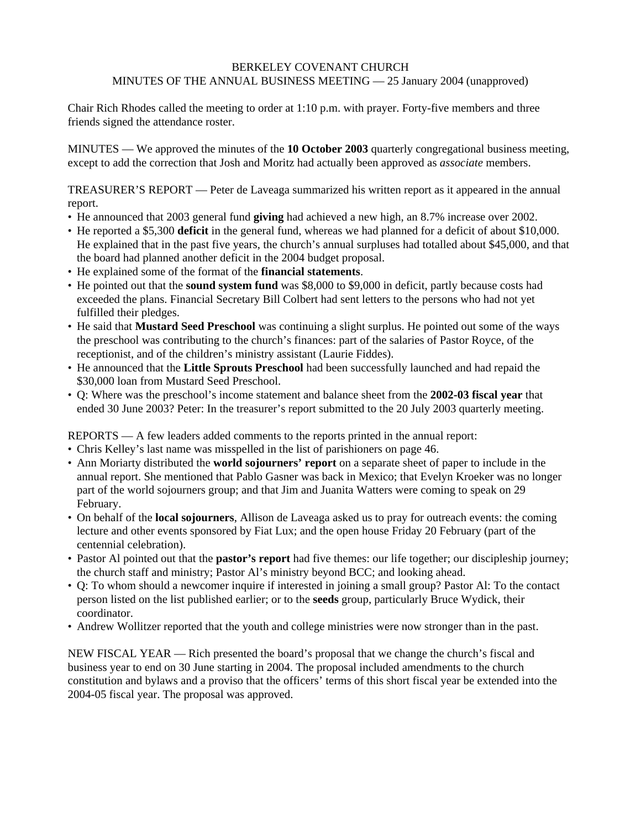## BERKELEY COVENANT CHURCH MINUTES OF THE ANNUAL BUSINESS MEETING — 25 January 2004 (unapproved)

Chair Rich Rhodes called the meeting to order at 1:10 p.m. with prayer. Forty-five members and three friends signed the attendance roster.

MINUTES — We approved the minutes of the **10 October 2003** quarterly congregational business meeting, except to add the correction that Josh and Moritz had actually been approved as *associate* members.

TREASURER'S REPORT — Peter de Laveaga summarized his written report as it appeared in the annual report.

- He announced that 2003 general fund **giving** had achieved a new high, an 8.7% increase over 2002.
- He reported a \$5,300 **deficit** in the general fund, whereas we had planned for a deficit of about \$10,000. He explained that in the past five years, the church's annual surpluses had totalled about \$45,000, and that the board had planned another deficit in the 2004 budget proposal.
- He explained some of the format of the **financial statements**.
- He pointed out that the **sound system fund** was \$8,000 to \$9,000 in deficit, partly because costs had exceeded the plans. Financial Secretary Bill Colbert had sent letters to the persons who had not yet fulfilled their pledges.
- He said that **Mustard Seed Preschool** was continuing a slight surplus. He pointed out some of the ways the preschool was contributing to the church's finances: part of the salaries of Pastor Royce, of the receptionist, and of the children's ministry assistant (Laurie Fiddes).
- He announced that the **Little Sprouts Preschool** had been successfully launched and had repaid the \$30,000 loan from Mustard Seed Preschool.
- Q: Where was the preschool's income statement and balance sheet from the **2002-03 fiscal year** that ended 30 June 2003? Peter: In the treasurer's report submitted to the 20 July 2003 quarterly meeting.

REPORTS — A few leaders added comments to the reports printed in the annual report:

- Chris Kelley's last name was misspelled in the list of parishioners on page 46.
- Ann Moriarty distributed the **world sojourners' report** on a separate sheet of paper to include in the annual report. She mentioned that Pablo Gasner was back in Mexico; that Evelyn Kroeker was no longer part of the world sojourners group; and that Jim and Juanita Watters were coming to speak on 29 February.
- On behalf of the **local sojourners**, Allison de Laveaga asked us to pray for outreach events: the coming lecture and other events sponsored by Fiat Lux; and the open house Friday 20 February (part of the centennial celebration).
- Pastor Al pointed out that the **pastor's report** had five themes: our life together; our discipleship journey; the church staff and ministry; Pastor Al's ministry beyond BCC; and looking ahead.
- Q: To whom should a newcomer inquire if interested in joining a small group? Pastor Al: To the contact person listed on the list published earlier; or to the **seeds** group, particularly Bruce Wydick, their coordinator.
- Andrew Wollitzer reported that the youth and college ministries were now stronger than in the past.

NEW FISCAL YEAR — Rich presented the board's proposal that we change the church's fiscal and business year to end on 30 June starting in 2004. The proposal included amendments to the church constitution and bylaws and a proviso that the officers' terms of this short fiscal year be extended into the 2004-05 fiscal year. The proposal was approved.